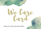

## We Care Card

Darby & Urbana Dental Smiles